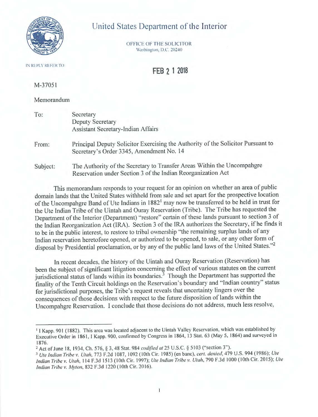

# United States Department of the Interior

OFFICE OF THE SOLICITOR Washington, D.C. 20240

#### IN REPLY REFER TO

**FEB 2 1 2018** 

M-37051

Memorandum

| To:   | Secretary                                       |
|-------|-------------------------------------------------|
|       | <b>Deputy Secretary</b>                         |
|       | Assistant Secretary-Indian Affairs              |
| From: | Principal Deputy Solicitor Exercising the Autho |

prity of the Solicitor Pursuant to Secretary's Order 3345, Amendment No. 14

Subject: The Authority of the Secretary to Transfer Areas Within the Uncompahgre Reservation under Section 3 of the Indian Reorganization Act

This memorandum responds to your request for an opinion on whether an area of public domain lands that the United States withheld from sale and set apart for the prospective location of the Uncompahgre Band of Ute Indians in 1882<sup>1</sup> may now be transferred to be held in trust for the Ute Indian Tribe of the Uintah and Ouray Reservation (Tribe). The Tribe has requested the Department of the Interior (Department) " restore" certain of these lands pursuant to section 3 of the Indian Reorganization Act (IRA). Section 3 of the IRA authorizes the Secretary, if he finds it to be in the public interest, to restore to tribal ownership "the remaining surplus lands of any Indian reservation heretofore opened, or authorized to be opened, to sale, or any other form of disposal by Presidential proclamation, or by any of the public land laws of the United States."<sup>2</sup>

In recent decades, the history of the Uintah and Ouray Reservation (Reservation) has been the subject of significant litigation concerning the effect of various statutes on the current jurisdictional status of lands within its boundaries.<sup>3</sup> Though the Department has supported the finality of the Tenth Circuit holdings on the Reservation's boundary and " Indian country" status for jurisdictional purposes, the Tribe's request reveals that uncertainty lingers over the consequences of those decisions with respect to the future disposition of lands within the Uncompahgre Reservation. I conclude that those decisions do not address, much less resolve,

<sup>&</sup>lt;sup>1</sup> I Kapp. 901 (1882). This area was located adjacent to the Uintah Valley Reservation, which was established by Executive Order in 1861, I Kapp. 900, confirmed by Congress in 1864, 13 Stat. 63 (May 5, 1864) and surveyed in

<sup>1876.&</sup>lt;br><sup>2</sup> Act of June 18, 1934, Ch. 576, § 3, 48 Stat. 984 *codified at* 25 U.S.C. § 5103 ("section 3").

<sup>3</sup>*Ute Indian Tribe v. Utah,* 773 F.2d 1087, 1092 ( 10th Cir. 1985) (en bane), *cert. denied,* 479 U.S. 994 ( 1986); *Ute Indian Tribe v. Utah, 114 F.3d 1513 (10th Cir. 1997); Ute Indian Tribe v. Utah, 790 F.3d 1000 (10th Cir. 2015); Ute Indian 7i-ibe* v. *My ton,* 832 F.3d 1220 ( I 0th Cir. 20 16).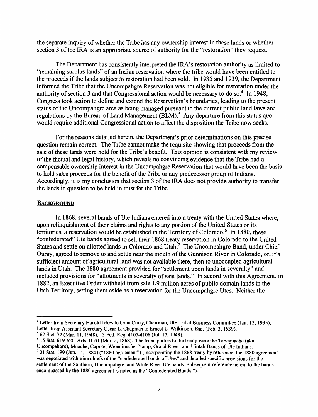the separate inquiry of whether the Tribe has any ownership interest in these lands or whether section 3 of the IRA is an appropriate source of authority for the "restoration" they request.

The Department has consistently interpreted the IRA's restoration authority as limited to "remaining surplus lands" of an Indian reservation where the tribe would have been entitled to the proceeds if the lands subject to restoration had been sold. In 1935 and 1939, the Department informed the Tribe that the Uncompahgre Reservation was not eligible for restoration under the authority of section 3 and that Congressional action would be necessary to do so.<sup>4</sup> In 1948, Congress took action to define and extend the Reservation's boundaries, leading to the present status of the Uncompahgre area as being managed pursuant to the current public land laws and regulations by the Bureau of Land Management (BLM).<sup>5</sup> Any departure from this status quo would require additional Congressional action to affect the disposition the Tribe now seeks.

. For the reasons detailed herein, the Department's prior determinations on this precise question remain correct. The Tribe cannot make the requisite showing that proceeds from the sale of these lands were held for the Tribe's benefit. This opinion is consistent with my review of the factual and legal history, which reveals no convincing evidence that the Tribe had a compensable ownership interest in the Uncompahgre Reservation that would have been the basis to hold sales proceeds for the benefit of the Tribe or any predecessor group of Indians. Accordingly, it is my conclusion that section 3 of the IRA does not provide authority to transfer the lands in question to be held in trust for the Tribe.

#### **BACKGROUND**

In 1868, several bands of Ute Indians entered into a treaty with the United States where, upon relinquishment of their claims and rights to any portion of the United States or its territories, a reservation would be established in the Territory of Colorado.<sup>6</sup> In 1880, these "confederated" Ute bands agreed to sell their 1868 treaty reservation in Colorado to the United States and settle on allotted lands in Colorado and Utah.<sup>7</sup> The Uncompahgre Band, under Chief Ouray, agreed to remove to and settle near the mouth of the Gunnison River in Colorado, or, if a sufficient amount of agricultural land was not available there, then to unoccupied agricultural lands in Utah. The 1880 agreement provided for "settlement upon lands in severalty" and included provisions for "allotments in severalty of said lands." In accord with this Agreement, in 1882, an Executive Order withheld from sale 1.9 million acres of public domain lands in the Utah Territory, setting them aside as a reservation for the Uncompahgre Utes. Neither the

<sup>4</sup>Letter from Secretary Harold Ickes to Oran Curry, Chairman, Ute Tribal Business Committee (Jan. 12, 1935), Letter from Assistant Secretary Oscar L. Chapman to Ernest L. Wilkinson, Esq. (Feb. 3, 1939).

<sup>5</sup> 62 Stat. 72 (Mar. 11, 1948), 13 Fed. Reg. 4105-4106 (Jul. 17, 1948).

<sup>6</sup>15 Stat. 619-620, Arts. II-III (Mar. 2, 1868). The tribal parties to the treaty were the Tabeguache (aka Uncompahgre), Muache, Capote, Weeminuche, Vamp, Grand River, and Uintah Bands of Ute Indians.

<sup>7</sup>21 Stat. 199 (Jun. 15, 1880) (" 1880 agreement") (Incorporating the 1868 treaty by reference, the 1880 agreement was negotiated with nine chiefs of the "confederated bands of Utes" and detailed specific provisions for the settlement of the Southern, Uncompahgre, and White River Ute bands. Subsequent reference herein to the bands encompassed by the 1880 agreement is noted as the "Confederated Bands.").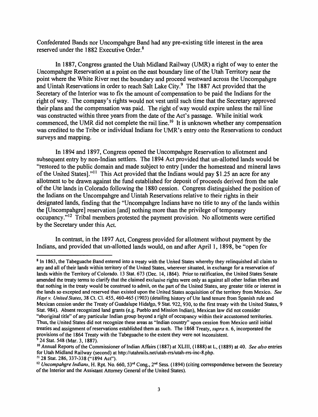Confederated Bands nor Uncompahgre Band had any pre-existing title interest in the area reserved under the 1882 Executive Order. <sup>8</sup>

In 1887, Congress granted the Utah Midland Railway (UMR) a right of way to enter the Uncompahgre Reservation at a point on the east boundary line of the Utah Territory near the point where the White River met the boundary and proceed westward across the Uncompahgre and Uintah Reservations in order to reach Salt Lake City.<sup>9</sup> The 1887 Act provided that the Secretary of the Interior was to fix the amount of compensation to be paid the Indians for the right of way. The company's rights would not vest until such time that the Secretary approved their plans and the compensation was paid. The right of way would expire unless the rail line was constructed within three years from the date of the Act's passage. While initial work commenced, the UMR did not complete the rail line.<sup>10</sup> It is unknown whether any compensation was credited to the Tribe or individual Indians for UMR's entry onto the Reservations to conduct surveys and mapping.

In 1894 and 1897, Congress opened the Uncompahgre Reservation to allotment and subsequent entry by non-Indian settlers. The 1894 Act provided that un-allotted lands would be "restored to the public domain and made subject to entry [ under the homestead and mineral laws of the United States]."<sup>11</sup> This Act provided that the Indians would pay \$1.25 an acre for any allotment to be drawn against the fund established for deposit of proceeds derived from the sale of the Ute lands in Colorado following the 1880 cession. Congress distinguished the position of the Indians on the Uncompahgre and Uintah Reservations relative to their rights in their designated lands, finding that the "Uncompahgre Indians have no title to any of the lands within the [Uncompahgre] reservation [ and] nothing more than the privilege of temporary occupancy. $^{312}$  Tribal members protested the payment provision. No allotments were certified by the Secretary under this Act.

In contrast, in the 1897 Act, Congress provided for allotment without payment by the Indians, and provided that un-allotted lands would, on and after April 1, 1898, be "open for

<sup>&</sup>lt;sup>8</sup> In 1863, the Tabeguache Band entered into a treaty with the United States whereby they relinquished all claim to any and all of their lands within territory of the United States, wherever situated, in exchange for a reservation of lands within the Territory of Colorado. 13 Stat. 673 (Dec. 14, 1864 ). Prior to ratification, the United States Senate amended the treaty terms to clarify that the claimed exclusive rights were only as against all other Indian tribes and that nothing in the treaty would be construed to admit, on the part of the United States, any greater title or interest in the lands so excepted and reserved than existed upon the United States acquisition of the territory from Mexico. *See Hayt v. United States,* 38 Ct. Cl. 455, 460-465 (1903) (detailing history of Ute land tenure from Spanish rule and Mexican cession under the Treaty of Guadalupe Hidalgo, 9 Stat. 922, 930, to the first treaty with the United States, 9 Stat. 984). Absent recognized land grants (e.g. Pueblo and Mission Indian), Mexican law did not consider "aboriginal title" of any particular Indian group beyond a right of occupancy within their accustomed territories. Thus, the United States did not recognize these areas as "Indian country" upon cession from Mexico until initial treaties and assignment of reservations established them as such. The 1868 Treaty, *supra* n. 6, incorporated the provisions of the 1864 Treaty with the Tabeguache to the extent they were not inconsistent. <sup>9</sup>24 Stat. 548 (Mar. 3, 1887).

<sup>10</sup>Annual Reports of the Commissioner of Indian Affairs ( 1887) at XLIII, ( 1888) at L, ( 1889) at 40. *See also* entries for Utah Midland Railway (second) at http://utahrails.net/utah-rrs/utah-rrs-inc-8.php. 11 28 Stat. 286, 337-338 ("1894 Act").

<sup>&</sup>lt;sup>12</sup> Uncompahgre Indians, H. Rpt. No. 660, 53<sup>rd</sup> Cong., 2<sup>nd</sup> Sess. (1894) (citing correspondence between the Secretary of the Interior and the Assistant Attorney General of the United States).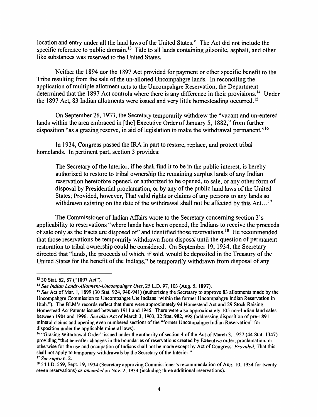location and entry under all the land laws of the United States." The Act did not include the specific reference to public domain.<sup>13</sup> Title to all lands containing gilsonite, asphalt, and other like substances was reserved to the United States.

Neither the 1894 nor the 1897 Act provided for payment or other specific benefit to the Tribe resulting from the sale of the un-allotted Uncompahgre lands. In reconciling the application of multiple allotment acts to the Uncompahgre Reservation, the Department determined that the 1897 Act controls where there is any difference in their provisions.<sup>14</sup> Under the 1897 Act, 83 Indian allotments were issued and very little homesteading occurred. <sup>15</sup>

On September 26, 1933, the Secretary temporarily withdrew the "vacant and un-entered lands within the area embraced in [the] Executive Order of January 5, 1882," from further disposition "as a grazing reserve, in aid of legislation to make the withdrawal permanent."<sup>16</sup>

In 1934, Congress passed the IRA in part to restore, replace, and protect tribal homelands. In pertinent part, section 3 provides:

The Secretary of the Interior, if he shall find it to be in the public interest, is hereby authorized to restore to tribal ownership the remaining surplus lands of any Indian reservation heretofore opened, or authorized to be opened, to sale, or any other form of disposal by Presidential proclamation, or by any of the public land laws of the United States; Provided, however, That valid rights or claims of any persons to any lands so withdrawn existing on the date of the withdrawal shall not be affected by this Act...<sup>17</sup>

The Commissioner of Indian Affairs wrote to the Secretary concerning section 3 's applicability to reservations "where lands have been opened, the Indians to receive the proceeds of sale only as the tracts are disposed of" and identified those reservations.<sup>18</sup> He recommended that those reservations be temporarily withdrawn from disposal until the question of permanent restoration to tribal ownership could be considered. On September 19, 1934, the Secretary directed that "lands, the proceeds of which, if sold, would be deposited in the Treasury of the United States for the benefit of the Indians," be temporarily withdrawn from disposal of any

<sup>13</sup>30 Stat. 62, 87 (" 1897 Act").

<sup>14</sup>*See Indian Lands-Allotment-Uncompahgre Vies,* 25 L.D. 97, 103 (Aug. 5, 1897).

<sup>15</sup>*See* Act of Mar. 1, 1899 (30 Stat. 924, 940-941) (authorizing the Secretary to approve 83 allotments made by the Uncompahgre Commission to Uncompahgre Ute Indians "within the former Uncompahgre Indian Reservation in Utah."). The BLM's records reflect that there were approximately 94 Homestead Act and 29 Stock Raising Homestead Act Patents issued between 1911 and 1945. There were also approximately 105 non-Indian land sales between 1904 and 1996. *See also* Act of March 3, 1903, 32 Stat. 982, 998 (addressing disposition of pre-1891 mineral claims and opening even numbered sections of the "former Uncompahgre Indian Reservation" for disposition under the applicable mineral laws).

<sup>&</sup>lt;sup>16</sup> "Grazing Withdrawal Order" issued under the authority of section 4 of the Act of March 3, 1927 (44 Stat. 1347) providing "that hereafter changes in the boundaries ofreservations created by Executive order, proclamation, or otherwise for the use and occupation of Indians shall not be made except by Act of Congress: *Provided,* That this shall not apply to temporary withdrawals by the Secretary of the Interior." 17 *See supra* n. 2.

<sup>&</sup>lt;sup>18</sup> 54 LD, 559, Sept. 19, 1934 (Secretary approving Commissioner's recommendation of Aug. 10, 1934 for twenty seven reservations) *as amended* on Nov. 2, 1934 (including three additiona1 reservations).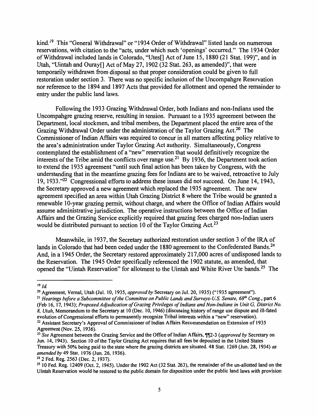kind.<sup>19</sup> This "General Withdrawal" or "1934 Order of Withdrawal" listed lands on numerous reservations, with citation to the "acts, under which such 'openings' occurred." The 1934 Order of Withdrawal included lands in Colorado, "Utes[] Act of June 15, 1880 (21 Stat. 199)", and in Utah, "Uintah and Ouray[] Act of May 27, 1902 (32 Stat. 263, as amended)", that were temporarily withdrawn from disposal so that proper consideration could be given to full restoration under section 3. There was no specific inclusion of the Uncompahgre Reservation nor reference to the 1894 and 1897 Acts that provided for allotment and opened the remainder to entry under the public land laws.

Following the 1933 Grazing Withdrawal Order, both Indians and non-Indians used the Uncompahgre grazing reserve, resulting in tension. Pursuant to a 1935 agreement between the Department, local stockmen, and tribal members, the Department placed the entire area of the Grazing Withdrawal Order under the administration of the Taylor Grazing Act.<sup>20</sup> The Commissioner of Indian Affairs was required to concur in all matters affecting policy relative to the area's administration under Taylor Grazing Act authority. Simultaneously, Congress contemplated the establishment of a "new" reservation that would definitively recognize the interests of the Tribe amid the conflicts over range use.<sup>21</sup> By 1936, the Department took action to extend the 1935 agreement "until such final action has been taken by Congress, with the understanding that in the meantime grazing fees for Indians are to be waived, retroactive to July 19, 1933."<sup>22</sup> Congressional efforts to address these issues did not succeed. On June 14, 1943, the Secretary approved a new agreement which replaced the 1935 agreement. The new agreement specified an area within Utah Grazing District 8 where the Tribe would be granted a renewable 10-year grazing permit, without charge, and where the Office of Indian Affairs would assume administrative jurisdiction. The operative instructions between the Office of Indian Affairs and the Grazing Service explicitly required that grazing fees charged non-Indian users would be distributed pursuant to section 10 of the Taylor Grazing Act.<sup>23</sup>

Meanwhile, in 1937, the Secretary authorized restoration under section 3 of the IRA of lands in Colorado that had been ceded under the 1880 agreement to the Confederated Bands.<sup>24</sup> And, in a 1945 Order, the Secretary restored approximately 217,000 acres of undisposed lands to the Reservation. The 1945 Order specifically referenced the 1902 statute, as amended, that opened the "Uintah Reservation" for allotment to the Uintah and White River Ute bands.<sup>25</sup> The

<sup>20</sup> Agreement, Vernal, Utah (Jul. 10, 1935, *approved by* Secretary on Jul. 20, 1935) ("1935 agreement").

<sup>21</sup> Hearings before a Subcommittee of the Committee on Public Lands and Surveys-U.S. Senate, 68<sup>th</sup> Cong., part 6 (Feb 16, 17, 1943); *Proposed Adjudication of Grazing Privileges of Indians and Non-Indians in Unit* G, *District No. 8, Utah,* Memorandum to the Secretary at 10 (Dec. 10, 1946) (discussing history of range use dispute and ill-fated evolution of Congressional efforts to permanently recognize Tribal interests within a "new" reservation). 22 Assistant Secretary's Approval of Commissioner of Indian Affairs Recommendation on Extension of 1935 Agreement (Nov. 25, 1936).

 $19 \, \text{Id}$ 

<sup>&</sup>lt;sup>23</sup> See Agreement between the Grazing Service and the Office of Indian Affairs, 112-3 *(approved by* Secretary on Jun. 14, 1943). Section 10 of the Taylor Grazing Act requires that all fees be deposited in the United States Treasury with 50% being paid to the state where the grazing districts are situated. 48 Stat. 1269 (Jun. 28, 1934) *as amended by* 49 Stat. 1976 (Jun. 26, 1936).

<sup>24 2</sup> Fed. Reg. 2563 (Dec. 2, 1937).

<sup>&</sup>lt;sup>25</sup> 10 Fed. Reg. 12409 (Oct. 2, 1945). Under the 1902 Act (32 Stat. 263), the remainder of the un-allotted land on the Uintah Reservation would be restored to the public domain for disposition under the public land laws with provision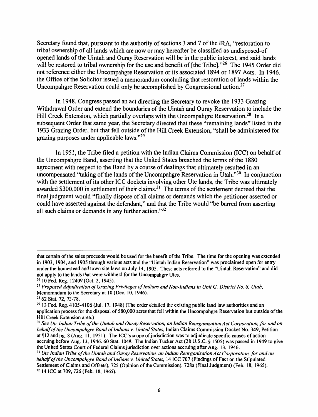Secretary found that, pursuant to the authority of sections 3 and 7 of the IRA, "restoration to tribal ownership of all lands which are now or may hereafter be classified as undisposed-of opened lands of the Uintah and Ouray Reservation will be in the public interest, and said lands will be restored to tribal ownership for the use and benefit of [the Tribe]."<sup>26</sup> The 1945 Order did not reference either the Uncompahgre Reservation or its associated 1894 or 1897 Acts. In 1946, the Office of the Solicitor issued a memorandum concluding that restoration of lands within the Uncompahgre Reservation could only be accomplished by Congressional action.<sup>27</sup>

In 1948, Congress passed an act directing the Secretary to revoke the 1933 Grazing Withdrawal Order and extend the boundaries of the Uintah and Ouray Reservation to include the Hill Creek Extension, which partially overlaps with the Uncompahgre Reservation.<sup>28</sup> In a subsequent Order that same year, the Secretary directed that these "remaining lands" listed in the 1933 Grazing Order, but that fell outside of the Hill Creek Extension, "shall be administered for grazing purposes under applicable laws. "<sup>29</sup>

In 1951, the Tribe filed a petition with the Indian Claims Commission (ICC) on behalf of the Uncompahgre Band, asserting that the United States breached the terms of the 1880 agreement with respect to the Band by a course of dealings that ultimately resulted in an uncompensated "taking of the lands of the Uncompahgre Reservation in Utah."30 In conjunction with the settlement of its other ICC dockets involving other Ute lands, the Tribe was ultimately awarded \$300,000 in settlement of their claims.<sup>31</sup> The terms of the settlement decreed that the final judgment would "finally dispose of all claims or demands which the petitioner asserted or could have asserted against the defendant," and that the Tribe would "be barred from asserting all such claims or demands in any further action."<sup>32</sup>

that certain of the sales proceeds would be used for the benefit of the Tribe. The time for the opening was extended in 1903, 1904, and 1905 through various acts and the "Uintah Indian Reservation" was proclaimed open for entry under the homestead and town site laws on July 14, 1905. These acts referred to the "Uintah Reservation" and did

not apply to the lands that were withheld for the Uncompahgre Utes.<br><sup>26</sup> 10 Fed. Reg. 12409 (Oct. 2, 1945).<br><sup>27</sup> Proposed Adjudication of Grazing Privileges of Indians and Non-Indians in Unit G, District No. 8, Utah,<br>Memor

<sup>&</sup>lt;sup>28</sup> 62 Stat. 72, 73-78.<br><sup>29</sup> 13 Fed. Reg. 4105-4106 (Jul. 17, 1948) (The order detailed the existing public land law authorities and an application process for the disposal of 580,000 acres that fell within the Uncompahgre Reservation but outside of the Hill Creek Extension area.)

<sup>&</sup>lt;sup>30</sup> See Ute Indian Tribe of the Uintah and Ouray Reservation, an Indian Reorganization Act Corporation, for and on *behalf of the Uncompahgre Band of Indians v. United States,* Indian Claims Commission Docket No. 349, Petition at ¶12 and pg. 8 (Aug. 11, 1951). The ICC's scope of jurisdiction was to adjudicate specific causes of action accruing before Aug. 13, 1946. 60 Stat. 1049. The Indian Tucker Act (28 U.S.C. § 1505) was passed in 1949 to give the United States Court of Federal Claims jurisdiction over actions accruing after Aug. 13, 1946.

<sup>&</sup>lt;sup>31</sup> Ute Indian Tribe of the Uintah and Ouray Reservation, an Indian Reorganization Act Corporation, for and on *behalf of the Uncompahgre Band of Indians v. United States,* 14 ICC 707 (Findings of Fact on the Stipulated Settlement of Claims and Offsets), 725 (Opinion of the Commission), 728a (Final Judgment) (Feb. 18, 1965). 32 14 ICC at 709, 726 (Feb. 18, 1965).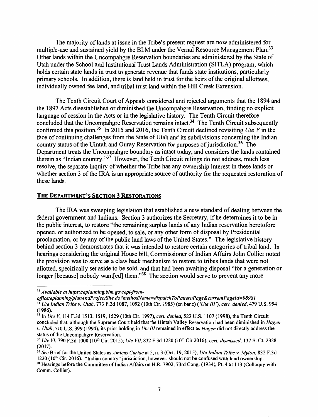The majority of lands at issue in the Tribe's present request are now administered for multiple-use and sustained yield by the BLM under the Vernal Resource Management Plan.<sup>33</sup> Other lands within the Uncompahgre Reservation boundaries are administered by the State of Utah under the School and Institutional Trust Lands Administration (SITLA) program, which holds certain state lands in trust to generate revenue that funds state institutions, particularly primary schools. In addition, there is land held in trust for the heirs of the original allottees, individually owned fee land, and tribal trust land within the Hill Creek Extension.

The Tenth Circuit Court of Appeals considered and rejected arguments that the 1894 and the 1897 Acts disestablished or diminished the Uncompahgre Reservation, finding no explicit language of cession in the Acts or in the legislative history. The Tenth Circuit therefore concluded that the Uncompahgre Reservation remains intact.<sup>34</sup> The Tenth Circuit subsequently confirmed this position.<sup>35</sup> In 2015 and 2016, the Tenth Circuit declined revisiting *Ute V* in the face of continuing challenges from the State of Utah and its subdivisions concerning the Indian country status of the Uintah and Ouray Reservation for purposes of jurisdiction.<sup>36</sup> The Department treats the Uncompahgre boundary as intact today, and considers the lands contained therein as "Indian country."37 However, the Tenth Circuit rulings do not address, much less resolve, the separate inquiry of whether the Tribe has any ownership interest in these lands or whether section 3 of the IRA is an appropriate source of authority for the requested restoration of these lands.

### **THE DEPARTMENT'S SECTION 3 RESTORATIONS**

The IRA was sweeping legislation that established a new standard of dealing between the federal government and Indians. Section 3 authorizes the Secretary, if he determines it to be in the public interest, to restore "the remaining surplus lands of any Indian reservation heretofore opened, or authorized to be opened, to sale, or any other form of disposal by Presidential proclamation, or by any of the public land laws of the United States." The legislative history behind section 3 demonstrates that it was intended to restore certain categories of tribal land. In hearings considering the original House bill, Commissioner of Indian Affairs John Collier noted the provision was to serve as a claw back mechanism to restore to tribes lands that were not allotted, specifically set aside to be sold, and that had been awaiting disposal "for a generation or longer [because] nobody want[ed] them.<sup>"38</sup> The section would serve to prevent any more

<sup>33</sup> *Available at https:/leplanning.blm.gov/epl-front-*

*office/eplanning/planAndProjectSite.do?methodName=dispatchToPatternPage&currentPageId=98981* <sup>34</sup>*Ute Indian Tribe v. Utah,* 773 F.2d 1087, 1092 (10th Cir. 1985) (en bane) *('Ute Ill'), cert. denied, 419* U.S. 994 (1986).

<sup>35</sup> In *Ute V,* 114 F.3d 1513, 1519, 1529 (10th Cir. 1997), *cert. denied,* 522 U.S. 1107 (1998), the Tenth Circuit concluded that, although the Supreme Court held that the Uintah Valley Reservation had been diminished in *Hagen v. Utah,* 510 U.S. 399 (1994), its prior holding in *Ute* II/remained in effect as *Hagen* did not directly address the

status of the Uncompahgre Reservation. 36 *Ute* VJ, 790 F.3d 1000 (JOth Cir. 2015); *Ute VII,* 832 F.3d 1220 (IO'h Cir 2016), *cert. dismissed,* 137 S. Ct. 2328 (2017).

<sup>37</sup>*See* Brief for the United States as *Amicus Curiae* at 5, n. 3 (Oct. 19, 2015), *Ute Indian Tribe v. Myton,* 832 F.3d  $38$  Hearings before the Committee of Indian Affairs on H.R. 7902, 73rd Cong. (1934), Pt. 4 at 113 (Colloquy with Comm. Collier).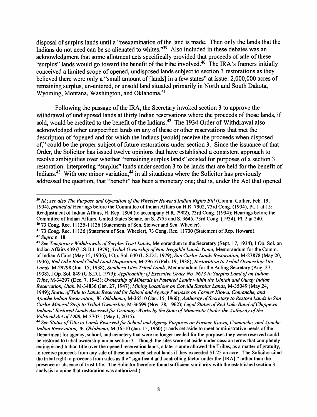disposal of surplus lands until a "reexamination of the land is made. Then only the lands that the Indians do not need can be so alienated to whites."<sup>39</sup> Also included in these debates was an acknowledgment that some allotment acts specifically provided that proceeds of sale of these "surplus" lands would go toward the benefit of the tribe involved.40 The IRA's framers initially conceived a limited scope of opened, undisposed lands subject to section 3 restorations as they believed there were only a "small amount of [lands] in a few states" at issue: 2,000,000 acres of remaining surplus, un-entered, or unsold land situated primarily in North and South Dakota, Wyoming, Montana, Washington, and Oklahoma.<sup>41</sup>

Following the passage of the IRA, the Secretary invoked section 3 to approve the withdrawal of undisposed lands at thirty Indian reservations where the proceeds of those lands, if sold, would be credited to the benefit of the Indians.<sup>42</sup> The 1934 Order of Withdrawal also acknowledged other unspecified lands on any of these or other reservations that met the description of "opened and for which the Indians [ would] receive the proceeds when disposed of," could be the proper subject of future restorations under section 3. Since the issuance of that Order, the Solicitor has issued twelve opinions that have established a consistent approach to resolve ambiguities over whether "remaining surplus lands" existed for purposes of a section 3 restoration: interpreting "surplus" lands under section 3 to be lands that are held for the benefit of Indians.<sup>43</sup> With one minor variation,<sup>44</sup> in all situations where the Solicitor has previously addressed the question, that "benefit" has been a monetary one; that is, under the Act that opened

<sup>&</sup>lt;sup>39</sup> Id.; see also The Purpose and Operation of the Wheeler Howard Indian Rights Bill (Comm. Collier, Feb. 19, 1934), *printed at* Hearings before the Committee of Indian Affairs on H.R. 7902, 73rd Cong. ( 1934), Pt. 1 at 15; Readjustment of Indian Affairs, H. Rep. 1804 (to accompany H.R. 7902), 73rd Cong. ( 1934 ); Hearings before the Committee of Indian Affairs, United States Senate, on S. 2755 and S. 3645, 73rd Cong. (1934), Pt. 2 at 240. 40 73 Cong. Rec. 11135-11136 (Statements of Sen. Steiwer and Sen. Wheeler).

<sup>41 73</sup> Cong. Rec. 11136 (Statement of Sen. Wheeler), 73 Cong. Rec. 11730 (Statement of Rep. Howard). <sup>42</sup>*Supra* n. 18.

<sup>43</sup>*See Temporary Withdrawals of Surplus Trust lands,* Memorandum to the Secretary (Sept. 17, 1934), I Op. Sol. on Indian Affairs 439 (U.S.D.I. 1979); *Tribal Ownership of Non-Irrigable lands-Yuma,* Memorandum for the Comm. of Indian Affairs (May 15, 1936), I Op. Sol. 640 (U.S.D.I. 1979); *San Carlos lands Restoration,* M-27878 (May 20, 1936); *Red lake Band-Ceded land Disposition,* M-29616 (Feb. 19, 1938); *Restoration to Tribal Ownership-Ute lands,* M-29798 (Jun. 15, 1938); *Southern Utes-Tribal lands,* Memorandum for the Acting Secretary (Aug. 27, 1938), I Op. Sol. 849 (U.S.D.I. 1979); *Applicability of Executive Order No. 9613 to Surplus land of an Indian Tribe,* M-34297 (Dec. 7, 1945); *Ownership of Minerals in Patented lands within the Uintah and Ouray Indian Reservation, Utah,* M-34836 (Jan. 27, 1947); *Mining locations on Colville Surplus lands,* M-35049 (May 24, 1949); *Status of Title to lands Reserved for School and Agency Purposes on Former Kiowa, Comanche, and Apache Indian Reservation,* W. *Oklahoma,* M-36510 (Jan. 15, 1960); *Authority of Secretary to Restore lands in San Carlos Mineral Strip to Tribal Ownership,* M-36599 (Nov. 28, 1962); *legal Status of Red lake Band of Chippewa Indians' Restored Lands Assessed for Drainage Works by the State of Minnesota Under the Authority of the Volstead Act of 1908, M-37031 (May 1, 2015).* 

*Volstead Act of 1908,* M-37031 (May I, 2015). 44 *See Status of Title to lands Reserved for School and Agency Purposes on Former Kiowa, Comanche, and Apache Indian Reservation,* W. *Oklahoma,* M-36510 (Jan. 15, 1960) (Lands set aside to meet administrative needs of the Department for agency, school, and cemetery that were no longer needed for the purposes they were reserved could be restored to tribal ownership under section 3. Though the sites were set aside under cession terms that completely extinguished Indian title over the opened reservation lands, a later statute allowed the Tribes, as a matter of gratuity, to receive proceeds from any sale of these unneeded school lands if they exceeded \$1.25 an acre. The Solicitor cited the tribal right to proceeds from sales as the "significant and controlling factor under the [IRA]," rather than the presence or absence of trust title. The Solicitor therefore found sufficient similarity with the established section 3 analysis to opine that restoration was authorized.).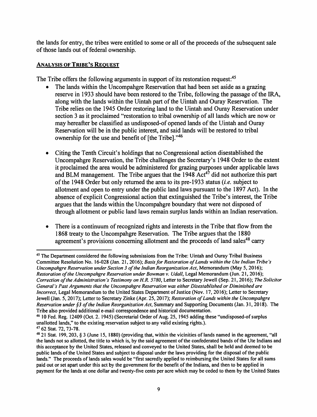the lands for entry, the tribes were entitled to some or all of the proceeds of the subsequent sale of those lands out of federal ownership.

## **ANALYSIS OF TRIBE'S REQUEST**

The Tribe offers the following arguments in support of its restoration request:<sup>45</sup>

- The lands within the Uncompahgre Reservation that had been set aside as a grazing reserve in 1933 should have been restored to the Tribe, following the passage of the IRA, along with the lands within the Uintah part of the Uintah and Ouray Reservation. The Tribe relies on the 1945 Order restoring land to the Uintah and Ouray Reservation under section 3 as it proclaimed "restoration to tribal ownership of all lands which are now or may hereafter be classified as undisposed-of opened lands of the Uintah and Ouray Reservation will be in the public interest, and said lands will be restored to tribal ownership for the use and benefit of [the Tribe]."46
- Citing the Tenth Circuit's holdings that no Congressional action disestablished the Uncompahgre Reservation, the Tribe challenges the Secretary's 1948 Order to the extent it proclaimed the area would be administered for grazing purposes under applicable laws and BLM management. The Tribe argues that the  $1948$  Act<sup>47</sup> did not authorize this part of the 1948 Order but only returned the area to its pre-1933 status (i.e. subject to allotment and open to entry under the public land laws pursuant to the 1897 Act). In the absence of explicit Congressional action that extinguished the Tribe's interest, the Tribe argues that the lands within the Uncompahgre boundary that were not disposed of through allotment or public land laws remain surplus lands within an Indian reservation.
- There is a continuum of recognized rights and interests in the Tribe that flow from the 1868 treaty to the Uncompahgre Reservation. The Tribe argues that the 1880 agreement's provisions concerning allotment and the proceeds of land sales<sup>48</sup> carry

<sup>45</sup> The Department considered the following submissions from the Tribe: Uintah and Ouray Tribal Business Committee Resolution No. 16-028 (Jan. 21, 2016); *Basis for Restoration of lands within the Ute Indian Tribe's Uncompahgre Reservation under Section 3 of the Indian Reorganization Act,* Memorandum (May 5, 2016); *Restoration of the Uncompahgre Reservation under Bowman v. Udall,* Legal Memorandum (Jun. 21, 2016); *Correction of the Administration's Testimony on H.R. 5780,* Letter to Secretary Jewell (Sep. 21, 2016); *The Solicitor General's Past Arguments that the Uncompahgre Reservation was either Disestablished or Diminished are Incorrect, Legal Memorandum to the United States Department of Justice (Nov. 17, 2016); Letter to Secretary* Jewell (Jan. 5, 2017); Letter to Secretary Zinke (Apr. 25, 2017); *Restoration of lands within the Uncompahgre Reservation under §3 of the Indian Reorganization Act*, Summary and Supporting Documents (Jan. 31, 2018). The Tribe also provided additional e-mail correspondence and historical documentation.

<sup>&</sup>lt;sup>46</sup> 10 Fed. Reg. 12409 (Oct. 2. 1945) (Secretarial Order of Aug. 25, 1945 adding these "undisposed-of surplus unallotted lands," to the existing reservation subject to any valid existing rights.).

<sup>&</sup>lt;sup>47</sup> 62 Stat. 72, 73-78.<br><sup>48</sup> 21 Stat. 199, 203, § 3 (June 15, 1880) (providing that, within the vicinities of lands named in the agreement, "all the lands not so allotted, the title to which is, by the said agreement of the confederated bands of the Ute Indians and this acceptance by the United States, released and conveyed to the United States, shall be held and deemed to be public lands of the United States and subject to disposal under the laws providing for the disposal of the public lands." The proceeds of lands sales would be "first sacredly applied to reimbursing the United States for all sums paid out or set apart under this act by the government for the benefit of the Indians, and then to be applied in payment for the lands at one dollar and twenty-five cents per acre which may be ceded to them by the United States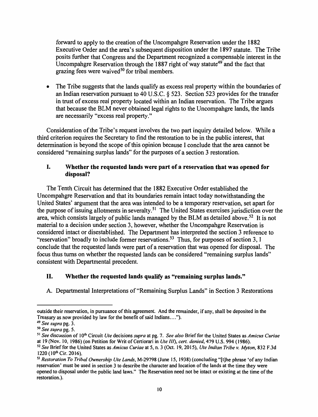forward to apply to the creation of the Uncompahgre Reservation under the 1882 Executive Order and the area's subsequent disposition under the 1897 statute. The Tribe posits further that Congress and the Department recognized a compensable interest in the Uncompahgre Reservation through the 1887 right of way statute<sup>49</sup> and the fact that grazing fees were waived<sup>50</sup> for tribal members.

• The Tribe suggests that the lands qualify as excess real property within the boundaries of an Indian reservation pursuant to 40 U.S.C. § 523. Section 523 provides for the transfer in trust of excess real property located within an Indian reservation. The Tribe argues that because the BLM never obtained legal rights to the Uncompahgre lands, the lands are necessarily "excess real property."

Consideration of the Tribe's request involves the two part inquiry detailed below. While a third criterion requires the Secretary to find the restoration to be in the public interest, that determination is beyond the scope of this opinion because I conclude that the area cannot be considered "remaining surplus lands" for the purposes of a section 3 restoration.

## I. **Whether the requested lands were part of a reservation that was opened for disposal?**

The Tenth Circuit has determined that the 1882 Executive Order established the Uncompahgre Reservation and that its boundaries remain intact today notwithstanding the United States' argument that the area was intended to be a temporary reservation, set apart for the purpose of issuing allotments in severalty.<sup>51</sup> The United States exercises jurisdiction over the area, which consists largely of public lands managed by the BLM as detailed above.<sup>52</sup> It is not material to a decision under section 3, however, whether the Uncompahgre Reservation is considered intact or disestablished. The Department has interpreted the section 3 reference to "reservation" broadly to include former reservations.<sup>53</sup> Thus, for purposes of section 3, I conclude that the requested lands were part of a reservation that was opened for disposal. The focus thus turns on whether the requested lands can be considered "remaining surplus lands" consistent with Departmental precedent.

## II. **Whether the requested lands qualify as "remaining surplus lands."**

A. Departmental Interpretations of "Remaining Surplus Lands" in Section 3 Restorations

outside their reservation, in pursuance of this agreement. And the remainder, if any, shall be deposited in the Treasury as now provided by law for the benefit of said Indians....").<br><sup>49</sup> See supra pg. 3.

<sup>49</sup>*See supra* pg. 3. 50 *See supra* pg. 5.

<sup>51</sup>*See* discussion of I 0th Circuit *Ute* decisions *supra* at pg. 7. *See also* Brief for the United States as *Amicus Curiae*  at 19 (Nov. IO, 1986) (on Petition for Writ of Certiorari in *Ute Ill), cert. denied,* 479 U.S. 994 (1986).

<sup>52</sup>*See* Brief for the United States as *Amicus Curiae* at 5, n. 3 (Oct. 19, 2015), *Ute Indian Tribe v. Myton,* 832 F.3d 1220 (10<sup>th</sup> Cir. 2016).<br><sup>53</sup> *Restoration To Tribal Ownership Ute Lands*, M-29798 (June 15, 1938) (concluding "[t]he phrase 'of any Indian

reservation' must be used in section 3 to describe the character and location of the lands at the time they were opened to disposal under the public land laws." The Reservation need not be intact or existing at the time of the restoration.).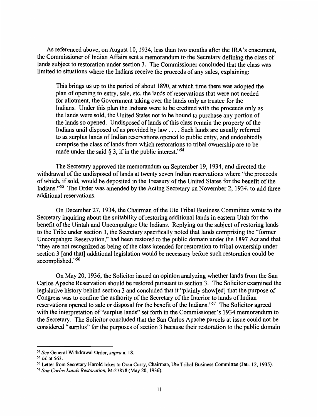As referenced above, on August 10, 1934, less than two months after the IRA 's enactment, the Commissioner of Indian Affairs sent a memorandum to the Secretary defining the class of lands subject to restoration under section 3. The Commissioner concluded that the class was limited to situations where the Indians receive the proceeds of any sales, explaining:

This brings us up to the period of about 1890, at which time there was adopted the plan of opening to entry, sale, etc. the lands of reservations that were not needed for allotment, the Government taking over the lands only as trustee for the Indians. Under this plan the Indians were to be credited with the proceeds only as the lands were sold, the United States not to be bound to purchase any portion of the lands so opened. Undisposed of lands of this class remain the property of the Indians until disposed of as provided by law .... Such lands are usually referred to as surplus lands of Indian reservations opened to public entry, and undoubtedly comprise the class of lands from which restorations to tribal ownership are to be made under the said  $\S$  3, if in the public interest."<sup>54</sup>

The Secretary approved the memorandum on September 19, 1934, and directed the withdrawal of the undisposed of lands at twenty seven Indian reservations where "the proceeds of which, if sold, would be deposited in the Treasury of the United States for the benefit of the Indians."55 The Order was amended by the Acting Secretary on November 2, 1934, to add three additional reservations.

On December 27, 1934, the Chairman of the Ute Tribal Business Committee wrote to the Secretary inquiring about the suitability of restoring additional lands in eastern Utah for the benefit of the Uintah and Uncompahgre Ute Indians. Replying on the subject of restoring lands to the Tribe under section 3, the Secretary specifically noted that lands comprising the "former Uncompahgre Reservation," had been restored to the public domain under the 1897 Act and that "they are not recognized as being of the class intended for restoration to tribal ownership under section 3 [and that] additional legislation would be necessary before such restoration could be accomplished. "<sup>56</sup>

On May 20, 1936, the Solicitor issued an opinion analyzing whether lands from the San Carlos Apache Reservation should be restored pursuant to section 3. The Solicitor examined the legislative history behind section 3 and concluded that it "plainly show[ed] that the purpose of Congress was to confine the authority of the Secretary of the Interior to lands of Indian reservations opened to sale or disposal for the benefit of the Indians. "57 The Solicitor agreed with the interpretation of "surplus lands" set forth in the Commissioner's 1934 memorandum to the Secretary. The Solicitor concluded that the San Carlos Apache parcels at issue could not be considered "surplus" for the purposes of section 3 because their restoration to the public domain

<sup>54</sup>*See* General Withdrawal Order, *supra* n. 18.

*<sup>55</sup> Id.* at 563.

<sup>56</sup> Letter from Secretary Harold Ickes to Oran Curry, Chairman, Ute Tribal Business Committee (Jan. 12, 1935).

*<sup>51</sup> San Carlos lands Restoration,* M-27878 (May 20, 1936).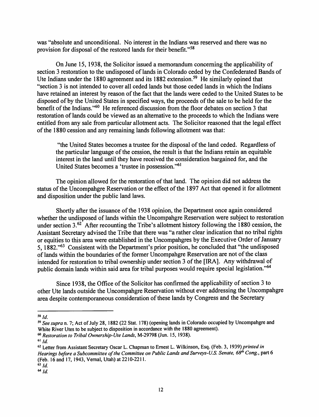was "absolute and unconditional. No interest in the Indians was reserved and there was no provision for disposal of the restored lands for their benefit."<sup>58</sup>

On June 15, 1938, the Solicitor issued a memorandum concerning the applicability of section 3 restoration to the undisposed of lands in Colorado ceded by the Confederated Bands of Ute Indians under the 1880 agreement and its 1882 extension.<sup>59</sup> He similarly opined that "section 3 is not intended to cover all ceded lands but those ceded lands in which the Indians have retained an interest by reason of the fact that the lands were ceded to the United States to be disposed of by the United States in specified ways, the proceeds of the sale to be held for the benefit of the Indians."60 He referenced discussion from the floor debates on section 3 that restoration of lands could be viewed as an alternative to the proceeds to which the Indians were entitled from any sale from particular allotment acts. The Solicitor reasoned that the legal effect of the 1880 cession and any remaining lands following allotment was that:

"the United States becomes a trustee for the disposal of the land ceded. Regardless of the particular language of the cession, the result is that the Indians retain an equitable interest in the land until they have received the consideration bargained for, and the United States becomes a 'trustee in possession. "<sup>61</sup>

The opinion allowed for the restoration of that land. The opinion did not address the status of the Uncompahgre Reservation or the effect of the 1897 Act that opened it for allotment and disposition under the public land laws.

Shortly after the issuance of the 1938 opinion, the Department once again considered whether the undisposed of lands within the Uncompahgre Reservation were subject to restoration under section  $3.62$  After recounting the Tribe's allotment history following the 1880 cession, the Assistant Secretary advised the Tribe that there was "a rather clear indication that no tribal rights or equities to this area were established in the Uncompahgres by the Executive Order of January 5, 1882."63 Consistent with the Department's prior position, he concluded that "the undisposed of lands within the boundaries of the former Uncompahgre Reservation are not of the class intended for restoration to tribal ownership under section 3 of the [IRA]. Any withdrawal of public domain lands within said area for tribal purposes would require special legislation."<sup>64</sup>

Since 1938, the Office of the Solicitor has confirmed the applicability of section 3 to other Ute lands outside the Uncompahgre Reservation without ever addressing the Uncompahgre area despite contemporaneous consideration of these lands by Congress and the Secretary

**<sup>58</sup> Jd.** 

<sup>59</sup>*See supra* n. 7; Act of July 28, 1882 (22 Stat. 178) (opening lands in Colorado occupied by Uncompahgre and White River Utes to be subject to disposition in accordance with the 1880 agreement).

<sup>60</sup> *Restoration to Tribal Ownership-Ute lands,* M-29798 (Jun. 15, 1938).

 $61$  Jd.

<sup>62</sup>Letter from Assistant Secretary Oscar L. Chapman to Ernest L. Wilkinson, Esq. (Feb. 3, 1939) *printed in Hearings before a Subcommittee of the Committee on Public lands and Surveys-US. Senate, 68*<sup>1</sup> <sup>h</sup>*Cong.,* part 6 (Feb. 16 and 17, 1943, Vernal, Utah) at 2210-2211.

 $63$  *Id.* 

 $64$  Jd.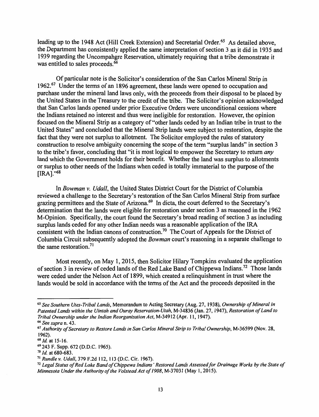leading up to the 1948 Act (Hill Creek Extension) and Secretarial Order.<sup>65</sup> As detailed above, the Department has consistently applied the same interpretation of section 3 as it did in 1935 and 1939 regarding the Uncompahgre Reservation, ultimately requiring that a tribe demonstrate it was entitled to sales proceeds.<sup>66</sup>

Of particular note is the Solicitor's consideration of the San Carlos Mineral Strip in 1962.<sup>67</sup> Under the terms of an 1896 agreement, these lands were opened to occupation and purchase under the mineral land laws only, with the proceeds from their disposal to be placed by the United States in the Treasury to the credit of the tribe. The Solicitor's opinion acknowledged that San Carlos lands opened under prior Executive Orders were unconditional cessions where the Indians retained no interest and thus were ineligible for restoration. However, the opinion focused on the Mineral Strip as a category of "other lands ceded by an Indian tribe in trust to the United States" and concluded that the Mineral Strip lands were subject to restoration, despite the fact that they were not surplus to allotment. The Solicitor employed the rules of statutory construction to resolve ambiguity concerning the scope of the term "surplus lands" in section 3 to the tribe's favor, concluding that "it is most logical to empower the Secretary to return *any*  land which the Government holds for their benefit. Whether the land was surplus to allotments or surplus to other needs of the Indians when ceded is totally immaterial to the purpose of the  $[IRA]$ ." $68$ 

In *Bowman v. Udall,* the United States District Court for the District of Columbia reviewed a challenge to the Secretary's restoration of the San Carlos Mineral Strip from surface grazing permittees and the State of Arizona.<sup>69</sup> In dicta, the court deferred to the Secretary's determination that the lands were eligible for restoration under section 3 as reasoned in the 1962 M-Opinion. Specifically, the court found the Secretary's broad reading of section 3 as including surplus lands ceded for any other Indian needs was a reasonable application of the IRA consistent with the Indian canons of construction.<sup>70</sup> The Court of Appeals for the District of Columbia Circuit subsequently adopted the *Bowman* court's reasoning in a separate challenge to the same restoration. <sup>71</sup>

Most recently, on May 1, 2015, then Solicitor Hilary Tompkins evaluated the application of section 3 in review of ceded lands of the Red Lake Band of Chippewa Indians.<sup>72</sup> Those lands were ceded under the Nelson Act of 1899, which created a relinquishment in trust where the lands would be sold in accordance with the terms of the Act and the proceeds deposited in the

<sup>65</sup>*See Southern Vies-Tribal Lands,* Memorandum to Acting Secretary (Aug. 27, 1938), *Ownership of Mineral in Patented Lands within the Uintah and Ouray Reservation-Utah,* M-34836 (Jan. 27, 1947), *Restoration of land to Tribal Ownership under the Indian Reorganization Act,* M-34912 (Apr. 11, 1947).

<sup>66</sup>*See supra* n. 43. 67 *Authority of Secretary to Restore Lands in San Carlos Mineral Strip to Tribal Ownership,* M-36599 (Nov. 28, 1962).<br> $68$  *Id.* at 15-16.

<sup>&</sup>lt;sup>69</sup> 243 F. Supp. 672 (D.D.C. 1965).<br><sup>70</sup> *Id.* at 680-683.

<sup>71</sup>*Rundle v. Udall,* 379 F.2d 112, 113 (D.C. Cir. 1967).

<sup>72</sup>*Legal Status of Red Lake Band of Chippewa Indians' Restored Lands Assessed for Drainage Works by the State of Minnesota Under the Authority of the Volstead Act of 1908,* M-37031 (May I, 2015).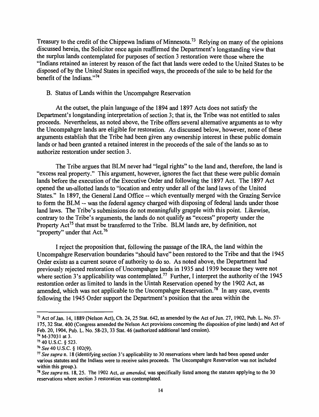Treasury to the credit of the Chippewa Indians of Minnesota.<sup>73</sup> Relying on many of the opinions discussed herein, the Solicitor once again reaffirmed the Department's longstanding view that the surplus lands contemplated for purposes of section 3 restoration were those where the "Indians retained an interest by reason of the fact that lands were ceded to the United States to be disposed of by the United States in specified ways, the proceeds of the sale to be held for the benefit of the Indians. "74

## B. Status of Lands within the Uncompahgre Reservation

At the outset, the plain language of the 1894 and 1897 Acts does not satisfy the Department's longstanding interpretation of section 3; that is, the Tribe was not entitled to sales proceeds. Nevertheless, as noted above, the Tribe offers several alternative arguments as to why the Uncompahgre lands are eligible for restoration. As discussed below, however, none of these arguments establish that the Tribe had been given any ownership interest in these public domain lands or had been granted a retained interest in the proceeds of the sale of the lands so as to authorize restoration under section 3.

The Tribe argues that BLM never had "legal rights" to the land and, therefore, the land is "excess real property." This argument, however, ignores the fact that these were public domain lands before the execution of the Executive Order and following the 1897 Act. The 1897 Act opened the un-allotted lands to "location and entry under all of the land laws of the United States." In 1897, the General Land Office -- which eventually merged with the Grazing Service to form the BLM -- was the federal agency charged with disposing of federal lands under those land laws. The Tribe's submissions do not meaningfully grapple with this point. Likewise, contrary to the Tribe's arguments, the lands do not qualify as "excess" property under the Property Act<sup>75</sup> that must be transferred to the Tribe. BLM lands are, by definition, not "property" under that Act.<sup>76</sup>

I reject the proposition that, following the passage of the IRA, the land within the Uncompahgre Reservation boundaries "should have" been restored to the Tribe and that the 1945 Order exists as a current source of authority to do so. As noted above, the Department had previously rejected restoration of Uncompahgre lands in 1935 and 1939 because they were not where section 3's applicability was contemplated.<sup>77</sup> Further, I interpret the authority of the 1945 restoration order as limited to lands in the Uintah Reservation opened by the 1902 Act, as amended, which was not applicable to the Uncompahgre Reservation.<sup>78</sup> In any case, events following the 1945 Order support the Department's position that the area within the

<sup>73</sup> Act of Jan. 14, 1889 (Nelson Act), Ch. 24, 25 Stat. 642, as amended by the Act of Jun. 27, 1902, Pub. L. No. 57- 175, 32 Stat. 400 (Congress amended the Nelson Act provisions concerning the disposition of pine lands) and Act of Feb. 20, 1904, Pub. L. No. 58-23, 33 Stat. 46 (authorized additional land cession).

<sup>74</sup> M-37031 at 3.

**<sup>7</sup> s 40 U.S.C.** § **523.** 

<sup>76</sup>*See* 40 U.S.C. § 102(9). 77 *See supra* n. 18 (identifying section 3 's applicability to 30 reservations where lands had been opened under various statutes and the Indians were to receive sales proceeds. The Uncompahgre Reservation was not included within this group.).<br><sup>78</sup> *See supra* ns. 18, 25. The 1902 Act, *as amended*, was specifically listed among the statutes applying to the 30

reservations where section 3 restoration was contemplated.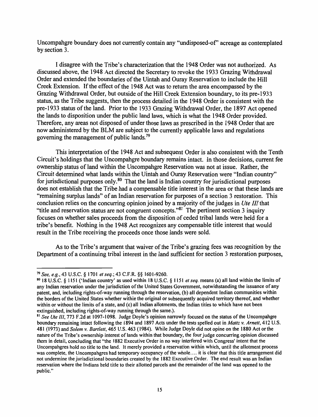Uncompahgre boundary does not currently contain any "undisposed-of' acreage as contemplated by section 3.

I disagree with the Tribe's characterization that the 1948 Order was not authorized. As discussed above, the 1948 Act directed the Secretary to revoke the 1933 Grazing Withdrawal Order and extended the boundaries of the Uintah and Ouray Reservation to include the Hill Creek Extension. If the effect of the 1948 Act was to return the area encompassed by the Grazing Withdrawal Order, but outside of the Hill Creek Extension boundary, to its pre-1933 status, as the Tribe suggests, then the process detailed in the 1948 Order is consistent with the pre-1933 status of the land. Prior to the 1933 Grazing Withdrawal Order, the 1897 Act opened the lands to disposition under the public land laws, which is what the 1948 Order provided. Therefore, any areas not disposed of under those laws as prescribed in the 1948 Order that are now administered by the BLM are subject to the currently applicable laws and regulations governing the management of public lands.<sup>79</sup>

This interpretation of the 1948 Act and subsequent Order is also consistent with the Tenth Circuit's holdings that the Uncompahgre boundary remains intact. In those decisions, current fee ownership status of land within the Uncompahgre Reservation was not at issue. Rather, the Circuit determined what lands within the Uintah and Ouray Reservation were "Indian country" for jurisdictional purposes only.<sup>80</sup> That the land is Indian country for jurisdictional purposes does not establish that the Tribe had a compensable title interest in the area or that these lands are "remaining surplus lands" of an Indian reservation for purposes of a section 3 restoration. This conclusion relies on the concurring opinion joined by a majority of the judges in *Ute III* that "title and reservation status are not congruent concepts."<sup>81</sup> The pertinent section 3 inquiry focuses on whether sales proceeds from the disposition of ceded tribal lands were held for a tribe's benefit. Nothing in the 1948 Act recognizes any compensable title interest that would result in the Tribe receiving the proceeds once those lands were sold.

As to the Tribe's argument that waiver of the Tribe's grazing fees was recognition by the Department of a continuing tribal interest in the land sufficient for section 3 restoration purposes,

*<sup>19</sup> See, e.g.,43* U.S.C. § 1701 *etseq.;43* C.F.R. §§ 1601-9260.

<sup>80 18</sup> U.S.C. § 1151 ('Indian country' as used within 18 U.S.C. § 1151 *et seq.* means (a) all land within the limits of any Indian reservation under the jurisdiction of the United States Government, notwithstanding the issuance of any patent, and, including rights-of-way running through the reservation, (b) all dependent Indian communities within the borders of the United States whether within the original or subsequently acquired territory thereof, and whether within or without the limits of a state, and (c) all Indian allotments, the Indian titles to which have not been extinguished, including rights-of-way running through the same.).

<sup>&</sup>lt;sup>81</sup> See Ute III, 773 F.2d at 1097-1098. Judge Doyle's opinion narrowly focused on the status of the Uncompahgre boundary remaining intact following the 1894 and 1897 Acts under the tests spelled out in *Maltz v. Arnett,* 412 U.S. 481 (1973) and *Solem v. Bartlett,* 465 U.S. 463 (1984). While Judge Doyle did not opine on the 1880 Act or the nature of the Tribe's ownership interest of lands within that boundary, the four judge concurring opinion discussed them in detail, concluding that "the 1882 Executive Order in no way interfered with Congress' intent that the Uncompahgres hold no title to the land. It merely provided a reservation within which, until the allotment process was complete, the Uncompahgres had temporary occupancy of the whole .... it is clear that this title arrangement did not undermine the jurisdictional boundaries created by the 1882 Executive Order. The end result was an Indian reservation where the Indians held title to their allotted parcels and the remainder of the land was opened to the public."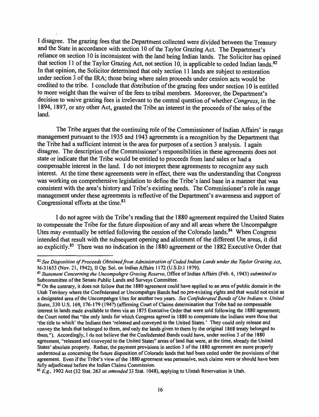I disagree. The grazing fees that the Department collected were divided between the Treasury and the State in accordance with section 10 of the Taylor Grazing Act. The Department's reliance on section 10 is inconsistent with the land being Indian lands. The Solicitor has opined that section 11 of the Taylor Grazing Act, not section 10, is applicable to ceded Indian lands.<sup>82</sup> In that opinion, the Solicitor determined that only section 11 lands are subject to restoration under section 3 of the IRA; those being where sales proceeds under cession acts would be credited to the tribe. I conclude that distribution of the grazing fees under section 10 is entitled to more weight than the waiver of the fees to tribal members. Moreover, the Department's decision to waive grazing fees is irrelevant to the central question of whether *Congress,* in the 1894, 1897, or any other Act, granted the Tribe an interest in the proceeds of the sales of the land.

The Tribe argues that the continuing role of the Commissioner of Indian Affairs' in range management pursuant to the 1935 and 1943 agreements is a recognition by the Department that the Tribe had a sufficient interest in the area for purposes of a section 3 analysis. I again disagree. The description of the Commissioner's responsibilities in these agreements does not state or indicate that the Tribe would be entitled to proceeds from land sales or had a compensable interest in the land. I do not interpret these agreements to recognize any such interest. At the time these agreements were in effect, there was the understanding that Congress was working on comprehensive legislation to define the Tribe's land base in a manner that was consistent with the area's history and Tribe's existing needs. The Commissioner's role in range management under these agreements is reflective of the Department's awareness and support of Congressional efforts at the time. 83

I do not agree with the Tribe's reading that the 1880 agreement required the United States to compensate the Tribe for the future disposition of any and all areas where the Uncompahgre Utes may eventually be settled following the cession of the Colorado lands.<sup>84</sup> When Congress intended that result with the subsequent opening and allotment of the different Ute areas, it did so explicitly.<sup>85</sup> There was no indication in the 1880 agreement or the 1882 Executive Order that

<sup>&</sup>lt;sup>82</sup> See Disposition of Proceeds Obtained from Administration of Ceded Indian Lands under the Taylor Grazing Act, M-31653 (Nov. 21, 1942), II Op. Sol. on Indian Affairs 1172 (U.S.D.1 1979).

<sup>&</sup>lt;sup>83</sup> Statement Concerning the Uncompahgre Grazing Reserve, Office of Indian Affairs (Feb. 6, 1943) *submitted to* Subcommittee of the Senate Public Lands and Surveys Committee.

<sup>&</sup>lt;sup>84</sup> On the contrary, it does not follow that the 1880 agreement could have applied to an area of public domain in the Utah Territory where the Confederated or Uncompahgre Bands had no pre-existing rights and that would not exist as a designated area of the Uncompahgre Utes for another two years. *See Confederated Bands of Ute Indians v. United States,* 330 U.S. 169, 176-179 ( 1947) (affirming Court of Claims determination that Tribe had no compensable interest in lands made available to them via an 1875 Executive Order that were sold following the **1880** agreement; the Court noted that "the only lands for which Congress agreed in 1880 to compensate the Indians were those that 'the title to which' the Indians then 'released and conveyed to the United States.' They could only release and convey the lands that belonged to them, and only the lands given to them by the original **1868** treaty belonged to them."). Accordingly, I do not believe that the Confederated Bands could have, under section 3 of the **1880**  agreement, "released and conveyed to the United States" areas of land that were, at the time, already the United States' absolute property. Rather, the payment provisions in section 3 of the 1880 agreement are more properly understood as concerning the future disposition of Colorado lands that had been ceded under the provisions of that agreement. Even if the Tribe's view of the 1880 agreement was persuasive, such claims were or should have been<br>fully adjudicated before the Indian Claims Commission.

<sup>&</sup>lt;sup>85</sup> *E.g.*, 1902 Act (32 Stat. 263 *as amended* 33 Stat. 1048), applying to Uintah Reservation in Utah.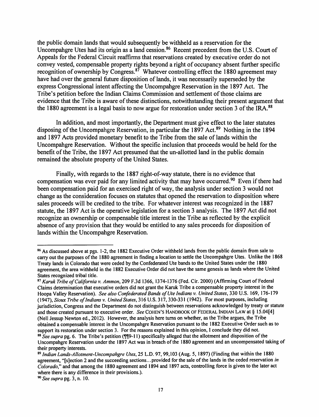the public domain lands that would subsequently be withheld as a reservation for the Uncompahgre Utes had its origin as a land cession.<sup>86</sup> Recent precedent from the U.S. Court of Appeals for the Federal Circuit reaffirms that reservations created by executive order do not convey vested, compensable property rights beyond a right of occupancy absent further specific recognition of ownership by Congress.<sup>87</sup> Whatever controlling effect the 1880 agreement may have had over the general future disposition of lands, it was necessarily superseded by the express Congressional intent affecting the Uncompahgre Reservation in the 1897 Act. The Tribe's petition before the Indian Claims Commission and settlement of those claims are evidence that the Tribe is aware of these distinctions, notwithstanding their present argument that the 1880 agreement is a legal basis to now argue for restoration under section 3 of the IRA.<sup>88</sup>

In addition, and most importantly, the Department must give effect to the later statutes disposing of the Uncompahgre Reservation, in particular the 1897 Act.<sup>89</sup> Nothing in the 1894 and 1897 Acts provided monetary benefit to the Tribe from the sale of lands within the Uncompahgre Reservation. Without the specific inclusion that proceeds would be held for the benefit of the Tribe, the 1897 Act presumed that the un-allotted land in the public domain remained the absolute property of the United States.

Finally, with regards to the 1887 right-of-way statute, there is no evidence that compensation was ever paid for any limited activity that may have occurred.<sup>90</sup> Even if there had been compensation paid for an exercised right of way, the analysis under section 3 would not change as the consideration focuses on statutes that opened the reservation to disposition where sales proceeds will be credited to the tribe. For whatever interest was recognized in the 1887 statute, the 1897 Act is the operative legislation for a section 3 analysis. The 1897 Act did not recognize an ownership or compensable title interest in the Tribe as reflected by the explicit absence of any provision that they would be entitled to any sales proceeds for disposition of lands within the Uncompahgre Reservation.

<sup>86</sup> As discussed above at pgs. 1-2, the 1882 Executive Order withheld lands from the public domain from sale to carry out the purposes of the 1880 agreement in finding a location to settle the Uncompahgre Utes. Unlike the 1868 Treaty lands in Colorado that were ceded by the Confederated Ute bands to the United States under the **1880**  agreement, the area withheld in the 1882 Executive Order did not have the same genesis as lands where the United States recognized tribal title.

<sup>87</sup>*Karuk Tribe of California v. Ammon,* 209 F.3d 1366, 1374-1376 (Fed. Cir. 2000) (Affirming Court of Federal Claims determination that executive orders did not grant the Karuk Tribe a compensable property interest in the Hoopa Valley Reservation). *See also Confederated Bands of Ute Indians v. United States,* 330 U.S. 169, 176-179 (1947), *Sioux Tribe of Indians v. United States,* 316 U.S. 317, 330-331 (1942). For most purposes, including jurisdiction, Congress and the Department do not distinguish between reservations acknowledged by treaty or statute and those created pursuant to executive order. *See* COHEN'S HANDBOOK OF FEDERAL INDIAN LAW at § 15.04[4] (Nell Jessup Newton ed., 2012). However, the analysis here turns on whether, as the Tribe argues, the Tribe obtained a compensable interest in the Uncompahgre Reservation pursuant to the 1882 Executive Order such as to support its restoration under section 3. For the reasons explained in this opinion, I conclude they did not. <sup>88</sup> See supra pg. 6. The Tribe's petition (¶[9-11) specifically alleged that the allotment and disposition of the U ncompahgre Reservation under the 1897 Act was in breach of the 1880 agreement and an uncompensated taking of their property interests.

<sup>89</sup>*Indian Lands-Allotment-Uncompahgre Utes,* 25 L.D. 97, 99,103 (Aug. 5, 1897) (Finding that within the 1880 agreement, "[s]ection 2 and the succeeding sections ... provided for the sale of the lands in the ceded reservation *in Colorado,"* and that among the 1880 agreement and 1894 and 1897 acts, controlling force is given to the later act where there is any difference in their provisions.).

<sup>90</sup>*See supra* pg. 3, n. I 0.